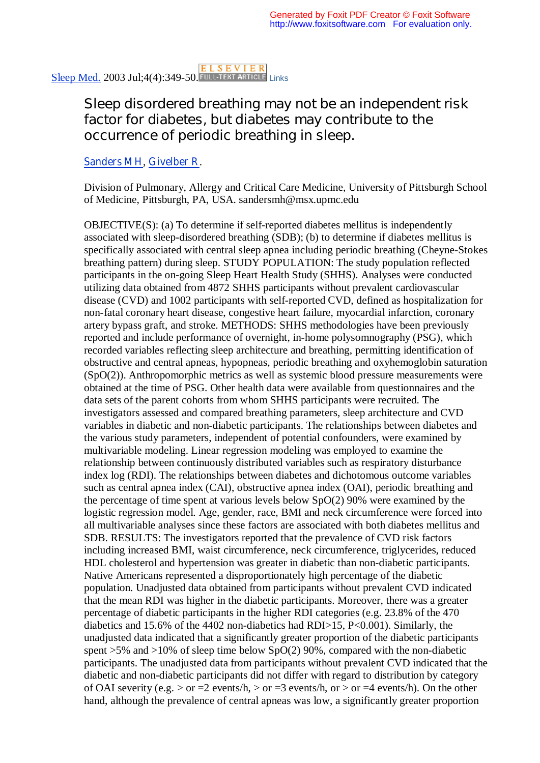Sleep Med. 2003 Jul;4(4):349-50. FULL TEXT ARTICLE Links

## Sleep disordered breathing may not be an independent risk factor for diabetes, but diabetes may contribute to the occurrence of periodic breathing in sleep.

## Sanders MH, Givelber R.

Division of Pulmonary, Allergy and Critical Care Medicine, University of Pittsburgh School of Medicine, Pittsburgh, PA, USA. sandersmh@msx.upmc.edu

OBJECTIVE(S): (a) To determine if self-reported diabetes mellitus is independently associated with sleep-disordered breathing (SDB); (b) to determine if diabetes mellitus is specifically associated with central sleep apnea including periodic breathing (Cheyne-Stokes breathing pattern) during sleep. STUDY POPULATION: The study population reflected participants in the on-going Sleep Heart Health Study (SHHS). Analyses were conducted utilizing data obtained from 4872 SHHS participants without prevalent cardiovascular disease (CVD) and 1002 participants with self-reported CVD, defined as hospitalization for non-fatal coronary heart disease, congestive heart failure, myocardial infarction, coronary artery bypass graft, and stroke. METHODS: SHHS methodologies have been previously reported and include performance of overnight, in-home polysomnography (PSG), which recorded variables reflecting sleep architecture and breathing, permitting identification of obstructive and central apneas, hypopneas, periodic breathing and oxyhemoglobin saturation (SpO(2)). Anthropomorphic metrics as well as systemic blood pressure measurements were obtained at the time of PSG. Other health data were available from questionnaires and the data sets of the parent cohorts from whom SHHS participants were recruited. The investigators assessed and compared breathing parameters, sleep architecture and CVD variables in diabetic and non-diabetic participants. The relationships between diabetes and the various study parameters, independent of potential confounders, were examined by multivariable modeling. Linear regression modeling was employed to examine the relationship between continuously distributed variables such as respiratory disturbance index log (RDI). The relationships between diabetes and dichotomous outcome variables such as central apnea index (CAI), obstructive apnea index (OAI), periodic breathing and the percentage of time spent at various levels below SpO(2) 90% were examined by the logistic regression model. Age, gender, race, BMI and neck circumference were forced into all multivariable analyses since these factors are associated with both diabetes mellitus and SDB. RESULTS: The investigators reported that the prevalence of CVD risk factors including increased BMI, waist circumference, neck circumference, triglycerides, reduced HDL cholesterol and hypertension was greater in diabetic than non-diabetic participants. Native Americans represented a disproportionately high percentage of the diabetic population. Unadjusted data obtained from participants without prevalent CVD indicated that the mean RDI was higher in the diabetic participants. Moreover, there was a greater percentage of diabetic participants in the higher RDI categories (e.g. 23.8% of the 470 diabetics and 15.6% of the 4402 non-diabetics had RDI>15, P<0.001). Similarly, the unadjusted data indicated that a significantly greater proportion of the diabetic participants spent  $>5\%$  and  $>10\%$  of sleep time below SpO(2) 90%, compared with the non-diabetic participants. The unadjusted data from participants without prevalent CVD indicated that the diabetic and non-diabetic participants did not differ with regard to distribution by category of OAI severity (e.g.  $>$  or =2 events/h,  $>$  or =3 events/h, or  $>$  or =4 events/h). On the other hand, although the prevalence of central apneas was low, a significantly greater proportion